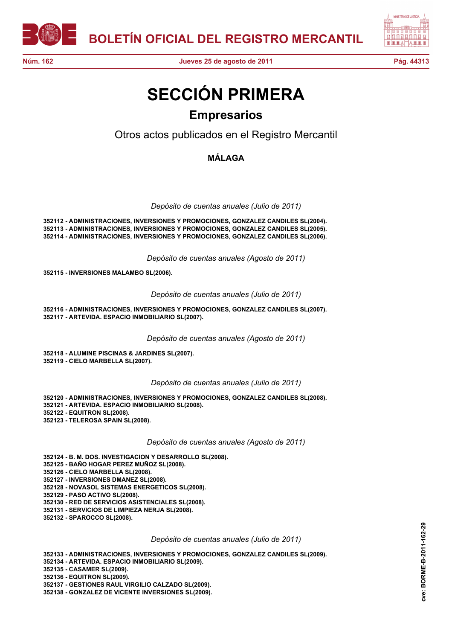



## **SECCIÓN PRIMERA Empresarios**

Otros actos publicados en el Registro Mercantil

**MÁLAGA**

*Depósito de cuentas anuales (Julio de 2011)*

**352112 - ADMINISTRACIONES, INVERSIONES Y PROMOCIONES, GONZALEZ CANDILES SL(2004). 352113 - ADMINISTRACIONES, INVERSIONES Y PROMOCIONES, GONZALEZ CANDILES SL(2005). 352114 - ADMINISTRACIONES, INVERSIONES Y PROMOCIONES, GONZALEZ CANDILES SL(2006).**

*Depósito de cuentas anuales (Agosto de 2011)*

**352115 - INVERSIONES MALAMBO SL(2006).**

*Depósito de cuentas anuales (Julio de 2011)*

**352116 - ADMINISTRACIONES, INVERSIONES Y PROMOCIONES, GONZALEZ CANDILES SL(2007). 352117 - ARTEVIDA. ESPACIO INMOBILIARIO SL(2007).**

*Depósito de cuentas anuales (Agosto de 2011)*

**352118 - ALUMINE PISCINAS & JARDINES SL(2007). 352119 - CIELO MARBELLA SL(2007).**

*Depósito de cuentas anuales (Julio de 2011)*

**352120 - ADMINISTRACIONES, INVERSIONES Y PROMOCIONES, GONZALEZ CANDILES SL(2008). 352121 - ARTEVIDA. ESPACIO INMOBILIARIO SL(2008). 352122 - EQUITRON SL(2008). 352123 - TELEROSA SPAIN SL(2008).**

*Depósito de cuentas anuales (Agosto de 2011)*

**352124 - B. M. DOS. INVESTIGACION Y DESARROLLO SL(2008). 352125 - BAÑO HOGAR PEREZ MUÑOZ SL(2008). 352126 - CIELO MARBELLA SL(2008). 352127 - INVERSIONES DMANEZ SL(2008). 352128 - NOVASOL SISTEMAS ENERGETICOS SL(2008). 352129 - PASO ACTIVO SL(2008). 352130 - RED DE SERVICIOS ASISTENCIALES SL(2008). 352131 - SERVICIOS DE LIMPIEZA NERJA SL(2008). 352132 - SPAROCCO SL(2008).**

## *Depósito de cuentas anuales (Julio de 2011)*

**352133 - ADMINISTRACIONES, INVERSIONES Y PROMOCIONES, GONZALEZ CANDILES SL(2009). 352134 - ARTEVIDA. ESPACIO INMOBILIARIO SL(2009). 352135 - CASAMER SL(2009). 352136 - EQUITRON SL(2009). 352137 - GESTIONES RAUL VIRGILIO CALZADO SL(2009). 352138 - GONZALEZ DE VICENTE INVERSIONES SL(2009).**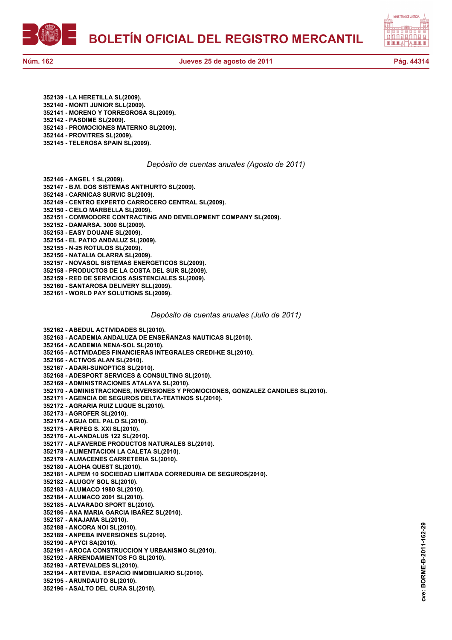**BOLETÍN OFICIAL DEL REGISTRO MERCANTIL**



**352139 - LA HERETILLA SL(2009). 352140 - MONTI JUNIOR SLL(2009). 352141 - MORENO Y TORREGROSA SL(2009). 352142 - PASDIME SL(2009). 352143 - PROMOCIONES MATERNO SL(2009). 352144 - PROVITRES SL(2009).**

**352145 - TELEROSA SPAIN SL(2009).**

*Depósito de cuentas anuales (Agosto de 2011)*

**352146 - ANGEL 1 SL(2009).**

**352147 - B.M. DOS SISTEMAS ANTIHURTO SL(2009).**

**352148 - CARNICAS SURVIC SL(2009).**

**352149 - CENTRO EXPERTO CARROCERO CENTRAL SL(2009).**

- **352150 CIELO MARBELLA SL(2009).**
- **352151 COMMODORE CONTRACTING AND DEVELOPMENT COMPANY SL(2009).**

**352152 - DAMARSA. 3000 SL(2009).**

**352153 - EASY DOUANE SL(2009).**

**352154 - EL PATIO ANDALUZ SL(2009). 352155 - N-25 ROTULOS SL(2009).**

**352156 - NATALIA OLARRA SL(2009).**

**352157 - NOVASOL SISTEMAS ENERGETICOS SL(2009).**

**352158 - PRODUCTOS DE LA COSTA DEL SUR SL(2009).**

**352159 - RED DE SERVICIOS ASISTENCIALES SL(2009).**

**352160 - SANTAROSA DELIVERY SLL(2009).**

**352161 - WORLD PAY SOLUTIONS SL(2009).**

*Depósito de cuentas anuales (Julio de 2011)*

**352162 - ABEDUL ACTIVIDADES SL(2010). 352163 - ACADEMIA ANDALUZA DE ENSEÑANZAS NAUTICAS SL(2010). 352164 - ACADEMIA NENA-SOL SL(2010). 352165 - ACTIVIDADES FINANCIERAS INTEGRALES CREDI-KE SL(2010). 352166 - ACTIVOS ALAN SL(2010). 352167 - ADARI-SUNOPTICS SL(2010). 352168 - ADESPORT SERVICES & CONSULTING SL(2010). 352169 - ADMINISTRACIONES ATALAYA SL(2010). 352170 - ADMINISTRACIONES, INVERSIONES Y PROMOCIONES, GONZALEZ CANDILES SL(2010). 352171 - AGENCIA DE SEGUROS DELTA-TEATINOS SL(2010). 352172 - AGRARIA RUIZ LUQUE SL(2010). 352173 - AGROFER SL(2010). 352174 - AGUA DEL PALO SL(2010). 352175 - AIRPEG S. XXI SL(2010). 352176 - AL-ANDALUS 122 SL(2010). 352177 - ALFAVERDE PRODUCTOS NATURALES SL(2010). 352178 - ALIMENTACION LA CALETA SL(2010). 352179 - ALMACENES CARRETERIA SL(2010). 352180 - ALOHA QUEST SL(2010). 352181 - ALPEM 10 SOCIEDAD LIMITADA CORREDURIA DE SEGUROS(2010). 352182 - ALUGOY SOL SL(2010). 352183 - ALUMACO 1980 SL(2010). 352184 - ALUMACO 2001 SL(2010). 352185 - ALVARADO SPORT SL(2010). 352186 - ANA MARIA GARCIA IBAÑEZ SL(2010). 352187 - ANAJAMA SL(2010). 352188 - ANCORA NOI SL(2010). 352189 - ANPEBA INVERSIONES SL(2010). 352190 - APYCI SA(2010). 352191 - AROCA CONSTRUCCION Y URBANISMO SL(2010). 352192 - ARRENDAMIENTOS FG SL(2010). 352193 - ARTEVALDES SL(2010). 352194 - ARTEVIDA. ESPACIO INMOBILIARIO SL(2010). 352195 - ARUNDAUTO SL(2010).**

**352196 - ASALTO DEL CURA SL(2010).**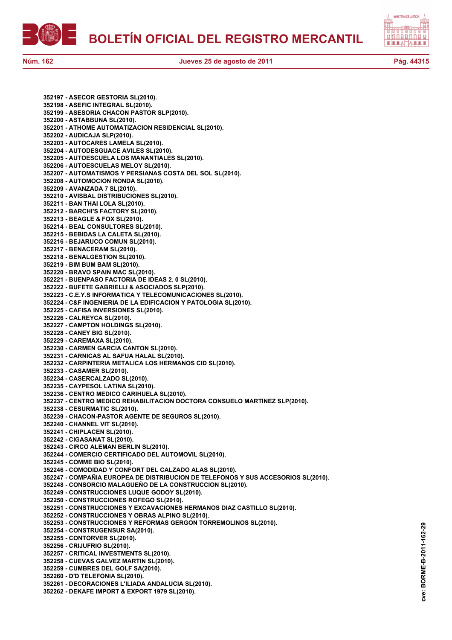



**cve: BORME-B-2011-162-29**

cve:

BORME-B-2011-162-29

**352197 - ASECOR GESTORIA SL(2010). 352198 - ASEFIC INTEGRAL SL(2010). 352199 - ASESORIA CHACON PASTOR SLP(2010). 352200 - ASTABBUNA SL(2010). 352201 - ATHOME AUTOMATIZACION RESIDENCIAL SL(2010). 352202 - AUDICAJA SLP(2010). 352203 - AUTOCARES LAMELA SL(2010). 352204 - AUTODESGUACE AVILES SL(2010). 352205 - AUTOESCUELA LOS MANANTIALES SL(2010). 352206 - AUTOESCUELAS MELOY SL(2010). 352207 - AUTOMATISMOS Y PERSIANAS COSTA DEL SOL SL(2010). 352208 - AUTOMOCION RONDA SL(2010). 352209 - AVANZADA 7 SL(2010). 352210 - AVISBAL DISTRIBUCIONES SL(2010). 352211 - BAN THAI LOLA SL(2010). 352212 - BARCHI'S FACTORY SL(2010). 352213 - BEAGLE & FOX SL(2010). 352214 - BEAL CONSULTORES SL(2010). 352215 - BEBIDAS LA CALETA SL(2010). 352216 - BEJARUCO COMUN SL(2010). 352217 - BENACERAM SL(2010). 352218 - BENALGESTION SL(2010). 352219 - BIM BUM BAM SL(2010). 352220 - BRAVO SPAIN MAC SL(2010). 352221 - BUENPASO FACTORIA DE IDEAS 2. 0 SL(2010). 352222 - BUFETE GABRIELLI & ASOCIADOS SLP(2010). 352223 - C.E.Y.S INFORMATICA Y TELECOMUNICACIONES SL(2010). 352224 - C&F INGENIERIA DE LA EDIFICACION Y PATOLOGIA SL(2010). 352225 - CAFISA INVERSIONES SL(2010). 352226 - CALREYCA SL(2010). 352227 - CAMPTON HOLDINGS SL(2010). 352228 - CANEY BIG SL(2010). 352229 - CAREMAXA SL(2010). 352230 - CARMEN GARCIA CANTON SL(2010). 352231 - CARNICAS AL SAFUA HALAL SL(2010). 352232 - CARPINTERIA METALICA LOS HERMANOS CID SL(2010). 352233 - CASAMER SL(2010). 352234 - CASERCALZADO SL(2010). 352235 - CAYPESOL LATINA SL(2010). 352236 - CENTRO MEDICO CARIHUELA SL(2010). 352237 - CENTRO MEDICO REHABILITACION DOCTORA CONSUELO MARTINEZ SLP(2010). 352238 - CESURMATIC SL(2010). 352239 - CHACON-PASTOR AGENTE DE SEGUROS SL(2010). 352240 - CHANNEL VIT SL(2010). 352241 - CHIPLACEN SL(2010). 352242 - CIGASANAT SL(2010). 352243 - CIRCO ALEMAN BERLIN SL(2010). 352244 - COMERCIO CERTIFICADO DEL AUTOMOVIL SL(2010). 352245 - COMME BIO SL(2010). 352246 - COMODIDAD Y CONFORT DEL CALZADO ALAS SL(2010). 352247 - COMPAÑIA EUROPEA DE DISTRIBUCION DE TELEFONOS Y SUS ACCESORIOS SL(2010). 352248 - CONSORCIO MALAGUEÑO DE LA CONSTRUCCION SL(2010). 352249 - CONSTRUCCIONES LUQUE GODOY SL(2010). 352250 - CONSTRUCCIONES ROFEGO SL(2010). 352251 - CONSTRUCCIONES Y EXCAVACIONES HERMANOS DIAZ CASTILLO SL(2010). 352252 - CONSTRUCCIONES Y OBRAS ALPINO SL(2010). 352253 - CONSTRUCCIONES Y REFORMAS GERGON TORREMOLINOS SL(2010). 352254 - CONSTRUGENSUR SA(2010). 352255 - CONTORVER SL(2010). 352256 - CRIJUFRIO SL(2010). 352257 - CRITICAL INVESTMENTS SL(2010). 352258 - CUEVAS GALVEZ MARTIN SL(2010). 352259 - CUMBRES DEL GOLF SA(2010). 352260 - D'D TELEFONIA SL(2010). 352261 - DECORACIONES L'ILIADA ANDALUCIA SL(2010). 352262 - DEKAFE IMPORT & EXPORT 1979 SL(2010).**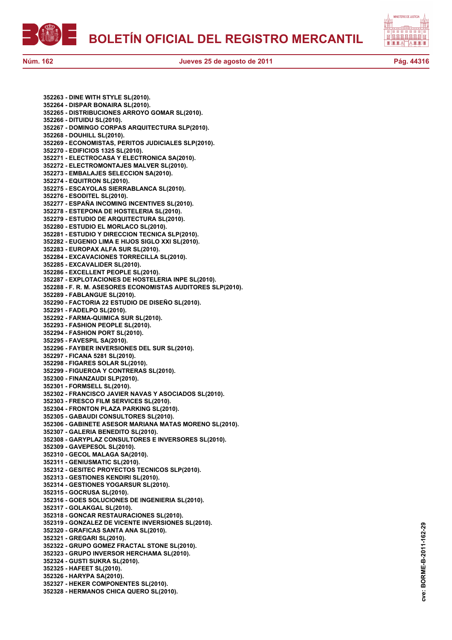



**352263 - DINE WITH STYLE SL(2010). 352264 - DISPAR BONAIRA SL(2010). 352265 - DISTRIBUCIONES ARROYO GOMAR SL(2010). 352266 - DITUIDU SL(2010). 352267 - DOMINGO CORPAS ARQUITECTURA SLP(2010). 352268 - DOUHILL SL(2010). 352269 - ECONOMISTAS, PERITOS JUDICIALES SLP(2010). 352270 - EDIFICIOS 1325 SL(2010). 352271 - ELECTROCASA Y ELECTRONICA SA(2010). 352272 - ELECTROMONTAJES MALVER SL(2010). 352273 - EMBALAJES SELECCION SA(2010). 352274 - EQUITRON SL(2010). 352275 - ESCAYOLAS SIERRABLANCA SL(2010). 352276 - ESODITEL SL(2010). 352277 - ESPAÑA INCOMING INCENTIVES SL(2010). 352278 - ESTEPONA DE HOSTELERIA SL(2010). 352279 - ESTUDIO DE ARQUITECTURA SL(2010). 352280 - ESTUDIO EL MORLACO SL(2010). 352281 - ESTUDIO Y DIRECCION TECNICA SLP(2010). 352282 - EUGENIO LIMA E HIJOS SIGLO XXI SL(2010). 352283 - EUROPAX ALFA SUR SL(2010). 352284 - EXCAVACIONES TORRECILLA SL(2010). 352285 - EXCAVALIDER SL(2010). 352286 - EXCELLENT PEOPLE SL(2010). 352287 - EXPLOTACIONES DE HOSTELERIA INPE SL(2010). 352288 - F. R. M. ASESORES ECONOMISTAS AUDITORES SLP(2010). 352289 - FABLANGUE SL(2010). 352290 - FACTORIA 22 ESTUDIO DE DISEÑO SL(2010). 352291 - FADELPO SL(2010). 352292 - FARMA-QUIMICA SUR SL(2010). 352293 - FASHION PEOPLE SL(2010). 352294 - FASHION PORT SL(2010). 352295 - FAVESPIL SA(2010). 352296 - FAYBER INVERSIONES DEL SUR SL(2010). 352297 - FICANA 5281 SL(2010). 352298 - FIGARES SOLAR SL(2010). 352299 - FIGUEROA Y CONTRERAS SL(2010). 352300 - FINANZAUDI SLP(2010). 352301 - FORMSELL SL(2010). 352302 - FRANCISCO JAVIER NAVAS Y ASOCIADOS SL(2010). 352303 - FRESCO FILM SERVICES SL(2010). 352304 - FRONTON PLAZA PARKING SL(2010). 352305 - GABAUDI CONSULTORES SL(2010). 352306 - GABINETE ASESOR MARIANA MATAS MORENO SL(2010). 352307 - GALERIA BENEDITO SL(2010). 352308 - GARYPLAZ CONSULTORES E INVERSORES SL(2010). 352309 - GAVEPESOL SL(2010). 352310 - GECOL MALAGA SA(2010). 352311 - GENIUSMATIC SL(2010). 352312 - GESITEC PROYECTOS TECNICOS SLP(2010). 352313 - GESTIONES KENDIRI SL(2010). 352314 - GESTIONES YOGARSUR SL(2010). 352315 - GOCRUSA SL(2010). 352316 - GOES SOLUCIONES DE INGENIERIA SL(2010). 352317 - GOLAKGAL SL(2010). 352318 - GONCAR RESTAURACIONES SL(2010). 352319 - GONZALEZ DE VICENTE INVERSIONES SL(2010). 352320 - GRAFICAS SANTA ANA SL(2010). 352321 - GREGARI SL(2010). 352322 - GRUPO GOMEZ FRACTAL STONE SL(2010). 352323 - GRUPO INVERSOR HERCHAMA SL(2010). 352324 - GUSTI SUKRA SL(2010). 352325 - HAFEET SL(2010). 352326 - HARYPA SA(2010). 352327 - HEKER COMPONENTES SL(2010). 352328 - HERMANOS CHICA QUERO SL(2010).**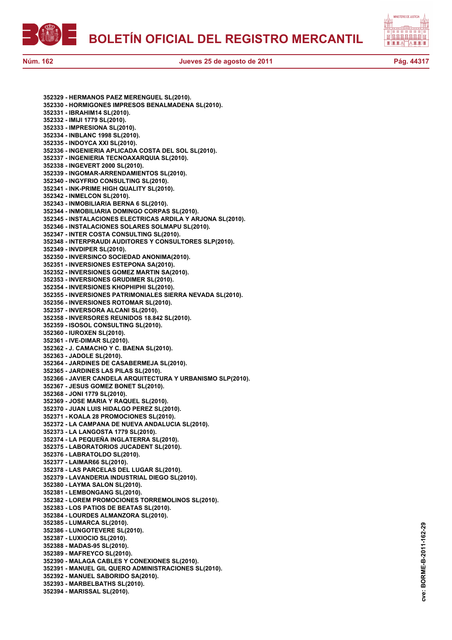



**352329 - HERMANOS PAEZ MERENGUEL SL(2010). 352330 - HORMIGONES IMPRESOS BENALMADENA SL(2010). 352331 - IBRAHIM14 SL(2010). 352332 - IMIJI 1779 SL(2010). 352333 - IMPRESIONA SL(2010). 352334 - INBLANC 1998 SL(2010). 352335 - INDOYCA XXI SL(2010). 352336 - INGENIERIA APLICADA COSTA DEL SOL SL(2010). 352337 - INGENIERIA TECNOAXARQUIA SL(2010). 352338 - INGEVERT 2000 SL(2010). 352339 - INGOMAR-ARRENDAMIENTOS SL(2010). 352340 - INGYFRIO CONSULTING SL(2010). 352341 - INK-PRIME HIGH QUALITY SL(2010). 352342 - INMELCON SL(2010). 352343 - INMOBILIARIA BERNA 6 SL(2010). 352344 - INMOBILIARIA DOMINGO CORPAS SL(2010). 352345 - INSTALACIONES ELECTRICAS ARDILA Y ARJONA SL(2010). 352346 - INSTALACIONES SOLARES SOLMAPU SL(2010). 352347 - INTER COSTA CONSULTING SL(2010). 352348 - INTERPRAUDI AUDITORES Y CONSULTORES SLP(2010). 352349 - INVDIPER SL(2010). 352350 - INVERSINCO SOCIEDAD ANONIMA(2010). 352351 - INVERSIONES ESTEPONA SA(2010). 352352 - INVERSIONES GOMEZ MARTIN SA(2010). 352353 - INVERSIONES GRUDIMER SL(2010). 352354 - INVERSIONES KHOPHIPHI SL(2010). 352355 - INVERSIONES PATRIMONIALES SIERRA NEVADA SL(2010). 352356 - INVERSIONES ROTOMAR SL(2010). 352357 - INVERSORA ALCANI SL(2010). 352358 - INVERSORES REUNIDOS 18.842 SL(2010). 352359 - ISOSOL CONSULTING SL(2010). 352360 - IUROXEN SL(2010). 352361 - IVE-DIMAR SL(2010). 352362 - J. CAMACHO Y C. BAENA SL(2010). 352363 - JADOLE SL(2010). 352364 - JARDINES DE CASABERMEJA SL(2010). 352365 - JARDINES LAS PILAS SL(2010). 352366 - JAVIER CANDELA ARQUITECTURA Y URBANISMO SLP(2010). 352367 - JESUS GOMEZ BONET SL(2010). 352368 - JONI 1779 SL(2010). 352369 - JOSE MARIA Y RAQUEL SL(2010). 352370 - JUAN LUIS HIDALGO PEREZ SL(2010). 352371 - KOALA 28 PROMOCIONES SL(2010). 352372 - LA CAMPANA DE NUEVA ANDALUCIA SL(2010). 352373 - LA LANGOSTA 1779 SL(2010). 352374 - LA PEQUEÑA INGLATERRA SL(2010). 352375 - LABORATORIOS JUCADENT SL(2010). 352376 - LABRATOLDO SL(2010). 352377 - LAIMAR66 SL(2010). 352378 - LAS PARCELAS DEL LUGAR SL(2010). 352379 - LAVANDERIA INDUSTRIAL DIEGO SL(2010). 352380 - LAYMA SALON SL(2010). 352381 - LEMBONGANG SL(2010). 352382 - LOREM PROMOCIONES TORREMOLINOS SL(2010). 352383 - LOS PATIOS DE BEATAS SL(2010). 352384 - LOURDES ALMANZORA SL(2010). 352385 - LUMARCA SL(2010). 352386 - LUNGOTEVERE SL(2010). 352387 - LUXIOCIO SL(2010). 352388 - MADAS-95 SL(2010). 352389 - MAFREYCO SL(2010). 352390 - MALAGA CABLES Y CONEXIONES SL(2010). 352391 - MANUEL GIL QUERO ADMINISTRACIONES SL(2010). 352392 - MANUEL SABORIDO SA(2010). 352393 - MARBELBATHS SL(2010). 352394 - MARISSAL SL(2010).**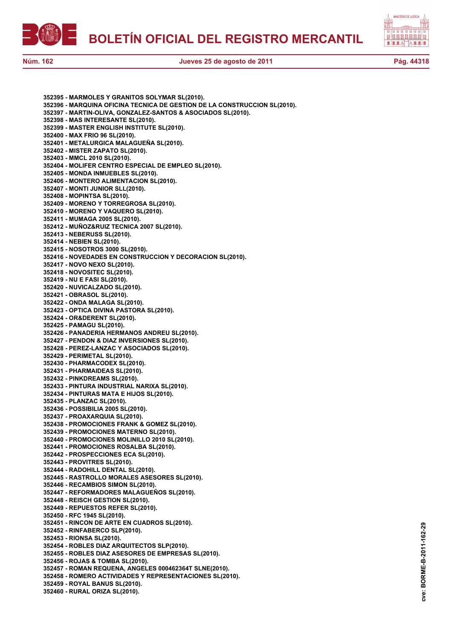



**352395 - MARMOLES Y GRANITOS SOLYMAR SL(2010). 352396 - MARQUINA OFICINA TECNICA DE GESTION DE LA CONSTRUCCION SL(2010). 352397 - MARTIN-OLIVA, GONZALEZ-SANTOS & ASOCIADOS SL(2010). 352398 - MAS INTERESANTE SL(2010). 352399 - MASTER ENGLISH INSTITUTE SL(2010). 352400 - MAX FRIO 96 SL(2010). 352401 - METALURGICA MALAGUEÑA SL(2010). 352402 - MISTER ZAPATO SL(2010). 352403 - MMCL 2010 SL(2010). 352404 - MOLIFER CENTRO ESPECIAL DE EMPLEO SL(2010). 352405 - MONDA INMUEBLES SL(2010). 352406 - MONTERO ALIMENTACION SL(2010). 352407 - MONTI JUNIOR SLL(2010). 352408 - MOPINTSA SL(2010). 352409 - MORENO Y TORREGROSA SL(2010). 352410 - MORENO Y VAQUERO SL(2010). 352411 - MUMAGA 2005 SL(2010). 352412 - MUÑOZ&RUIZ TECNICA 2007 SL(2010). 352413 - NEBERUSS SL(2010). 352414 - NEBIEN SL(2010). 352415 - NOSOTROS 3000 SL(2010). 352416 - NOVEDADES EN CONSTRUCCION Y DECORACION SL(2010). 352417 - NOVO NEXO SL(2010). 352418 - NOVOSITEC SL(2010). 352419 - NU E FASI SL(2010). 352420 - NUVICALZADO SL(2010). 352421 - OBRASOL SL(2010). 352422 - ONDA MALAGA SL(2010). 352423 - OPTICA DIVINA PASTORA SL(2010). 352424 - OR&DERENT SL(2010). 352425 - PAMAGU SL(2010). 352426 - PANADERIA HERMANOS ANDREU SL(2010). 352427 - PENDON & DIAZ INVERSIONES SL(2010). 352428 - PEREZ-LANZAC Y ASOCIADOS SL(2010). 352429 - PERIMETAL SL(2010). 352430 - PHARMACODEX SL(2010). 352431 - PHARMAIDEAS SL(2010). 352432 - PINKDREAMS SL(2010). 352433 - PINTURA INDUSTRIAL NARIXA SL(2010). 352434 - PINTURAS MATA E HIJOS SL(2010). 352435 - PLANZAC SL(2010). 352436 - POSSIBILIA 2005 SL(2010). 352437 - PROAXARQUIA SL(2010). 352438 - PROMOCIONES FRANK & GOMEZ SL(2010). 352439 - PROMOCIONES MATERNO SL(2010). 352440 - PROMOCIONES MOLINILLO 2010 SL(2010). 352441 - PROMOCIONES ROSALBA SL(2010). 352442 - PROSPECCIONES ECA SL(2010). 352443 - PROVITRES SL(2010). 352444 - RADOHILL DENTAL SL(2010). 352445 - RASTROLLO MORALES ASESORES SL(2010). 352446 - RECAMBIOS SIMON SL(2010). 352447 - REFORMADORES MALAGUEÑOS SL(2010). 352448 - REISCH GESTION SL(2010). 352449 - REPUESTOS REFER SL(2010). 352450 - RFC 1945 SL(2010). 352451 - RINCON DE ARTE EN CUADROS SL(2010). 352452 - RINFABERCO SLP(2010). 352453 - RIONSA SL(2010). 352454 - ROBLES DIAZ ARQUITECTOS SLP(2010). 352455 - ROBLES DIAZ ASESORES DE EMPRESAS SL(2010). 352456 - ROJAS & TOMBA SL(2010). 352457 - ROMAN REQUENA, ANGELES 000462364T SLNE(2010). 352458 - ROMERO ACTIVIDADES Y REPRESENTACIONES SL(2010). 352459 - ROYAL BANUS SL(2010). 352460 - RURAL ORIZA SL(2010).**

**cve: BORME-B-2011-162-29** BORME-B-2011-162-29 cve: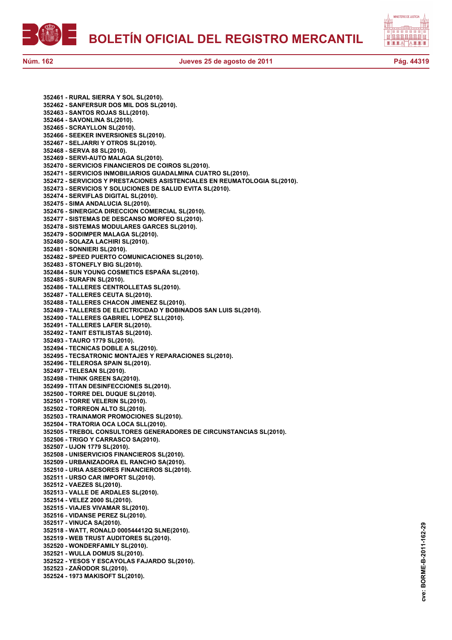

**352461 - RURAL SIERRA Y SOL SL(2010). 352462 - SANFERSUR DOS MIL DOS SL(2010). 352463 - SANTOS ROJAS SLL(2010). 352464 - SAVONLINA SL(2010). 352465 - SCRAYLLON SL(2010). 352466 - SEEKER INVERSIONES SL(2010). 352467 - SELJARRI Y OTROS SL(2010). 352468 - SERVA 88 SL(2010). 352469 - SERVI-AUTO MALAGA SL(2010). 352470 - SERVICIOS FINANCIEROS DE COIROS SL(2010). 352471 - SERVICIOS INMOBILIARIOS GUADALMINA CUATRO SL(2010). 352472 - SERVICIOS Y PRESTACIONES ASISTENCIALES EN REUMATOLOGIA SL(2010). 352473 - SERVICIOS Y SOLUCIONES DE SALUD EVITA SL(2010). 352474 - SERVIFLAS DIGITAL SL(2010). 352475 - SIMA ANDALUCIA SL(2010). 352476 - SINERGICA DIRECCION COMERCIAL SL(2010). 352477 - SISTEMAS DE DESCANSO MORFEO SL(2010). 352478 - SISTEMAS MODULARES GARCES SL(2010). 352479 - SODIMPER MALAGA SL(2010). 352480 - SOLAZA LACHIRI SL(2010). 352481 - SONNIERI SL(2010). 352482 - SPEED PUERTO COMUNICACIONES SL(2010). 352483 - STONEFLY BIG SL(2010). 352484 - SUN YOUNG COSMETICS ESPAÑA SL(2010). 352485 - SURAFIN SL(2010). 352486 - TALLERES CENTROLLETAS SL(2010). 352487 - TALLERES CEUTA SL(2010). 352488 - TALLERES CHACON JIMENEZ SL(2010). 352489 - TALLERES DE ELECTRICIDAD Y BOBINADOS SAN LUIS SL(2010). 352490 - TALLERES GABRIEL LOPEZ SLL(2010). 352491 - TALLERES LAFER SL(2010). 352492 - TANIT ESTILISTAS SL(2010). 352493 - TAURO 1779 SL(2010). 352494 - TECNICAS DOBLE A SL(2010). 352495 - TECSATRONIC MONTAJES Y REPARACIONES SL(2010). 352496 - TELEROSA SPAIN SL(2010). 352497 - TELESAN SL(2010). 352498 - THINK GREEN SA(2010). 352499 - TITAN DESINFECCIONES SL(2010). 352500 - TORRE DEL DUQUE SL(2010). 352501 - TORRE VELERIN SL(2010). 352502 - TORREON ALTO SL(2010). 352503 - TRAINAMOR PROMOCIONES SL(2010). 352504 - TRATORIA OCA LOCA SLL(2010). 352505 - TREBOL CONSULTORES GENERADORES DE CIRCUNSTANCIAS SL(2010). 352506 - TRIGO Y CARRASCO SA(2010). 352507 - UJON 1779 SL(2010). 352508 - UNISERVICIOS FINANCIEROS SL(2010). 352509 - URBANIZADORA EL RANCHO SA(2010). 352510 - URIA ASESORES FINANCIEROS SL(2010). 352511 - URSO CAR IMPORT SL(2010). 352512 - VAEZES SL(2010). 352513 - VALLE DE ARDALES SL(2010). 352514 - VELEZ 2000 SL(2010). 352515 - VIAJES VIVAMAR SL(2010). 352516 - VIDANSE PEREZ SL(2010). 352517 - VINUCA SA(2010). 352518 - WATT, RONALD 000544412Q SLNE(2010). 352519 - WEB TRUST AUDITORES SL(2010). 352520 - WONDERFAMILY SL(2010). 352521 - WULLA DOMUS SL(2010). 352522 - YESOS Y ESCAYOLAS FAJARDO SL(2010). 352523 - ZAÑODOR SL(2010). 352524 - 1973 MAKISOFT SL(2010).**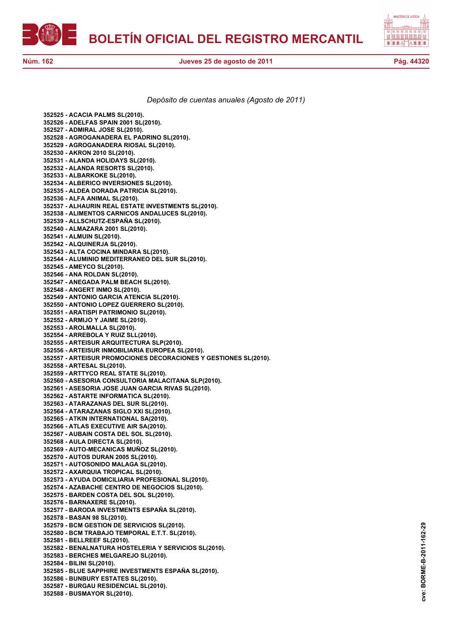



*Depósito de cuentas anuales (Agosto de 2011)*

**352525 - ACACIA PALMS SL(2010). 352526 - ADELFAS SPAIN 2001 SL(2010). 352527 - ADMIRAL JOSE SL(2010). 352528 - AGROGANADERA EL PADRINO SL(2010). 352529 - AGROGANADERA RIOSAL SL(2010). 352530 - AKRON 2010 SL(2010). 352531 - ALANDA HOLIDAYS SL(2010). 352532 - ALANDA RESORTS SL(2010). 352533 - ALBARKOKE SL(2010). 352534 - ALBERICO INVERSIONES SL(2010). 352535 - ALDEA DORADA PATRICIA SL(2010). 352536 - ALFA ANIMAL SL(2010). 352537 - ALHAURIN REAL ESTATE INVESTMENTS SL(2010). 352538 - ALIMENTOS CARNICOS ANDALUCES SL(2010). 352539 - ALLSCHUTZ-ESPAÑA SL(2010). 352540 - ALMAZARA 2001 SL(2010). 352541 - ALMUIN SL(2010). 352542 - ALQUINERJA SL(2010). 352543 - ALTA COCINA MINDARA SL(2010). 352544 - ALUMINIO MEDITERRANEO DEL SUR SL(2010). 352545 - AMEYCO SL(2010). 352546 - ANA ROLDAN SL(2010). 352547 - ANEGADA PALM BEACH SL(2010). 352548 - ANGERT INMO SL(2010). 352549 - ANTONIO GARCIA ATENCIA SL(2010). 352550 - ANTONIO LOPEZ GUERRERO SL(2010). 352551 - ARATISPI PATRIMONIO SL(2010). 352552 - ARMIJO Y JAIME SL(2010). 352553 - AROLMALLA SL(2010). 352554 - ARREBOLA Y RUIZ SLL(2010). 352555 - ARTEISUR ARQUITECTURA SLP(2010). 352556 - ARTEISUR INMOBILIARIA EUROPEA SL(2010). 352557 - ARTEISUR PROMOCIONES DECORACIONES Y GESTIONES SL(2010). 352558 - ARTESAL SL(2010). 352559 - ARTTYCO REAL STATE SL(2010). 352560 - ASESORIA CONSULTORIA MALACITANA SLP(2010). 352561 - ASESORIA JOSE JUAN GARCIA RIVAS SL(2010). 352562 - ASTARTE INFORMATICA SL(2010). 352563 - ATARAZANAS DEL SUR SL(2010). 352564 - ATARAZANAS SIGLO XXI SL(2010). 352565 - ATKIN INTERNATIONAL SA(2010). 352566 - ATLAS EXECUTIVE AIR SA(2010). 352567 - AUBAIN COSTA DEL SOL SL(2010). 352568 - AULA DIRECTA SL(2010). 352569 - AUTO-MECANICAS MUÑOZ SL(2010). 352570 - AUTOS DURAN 2005 SL(2010). 352571 - AUTOSONIDO MALAGA SL(2010). 352572 - AXARQUIA TROPICAL SL(2010). 352573 - AYUDA DOMICILIARIA PROFESIONAL SL(2010). 352574 - AZABACHE CENTRO DE NEGOCIOS SL(2010). 352575 - BARDEN COSTA DEL SOL SL(2010). 352576 - BARNAXERE SL(2010). 352577 - BARODA INVESTMENTS ESPAÑA SL(2010). 352578 - BASAN 98 SL(2010). 352579 - BCM GESTION DE SERVICIOS SL(2010). 352580 - BCM TRABAJO TEMPORAL E.T.T. SL(2010). 352581 - BELLREEF SL(2010). 352582 - BENALNATURA HOSTELERIA Y SERVICIOS SL(2010). 352583 - BERCHES MELGAREJO SL(2010). 352584 - BILINI SL(2010). 352585 - BLUE SAPPHIRE INVESTMENTS ESPAÑA SL(2010). 352586 - BUNBURY ESTATES SL(2010). 352587 - BURGAU RESIDENCIAL SL(2010). 352588 - BUSMAYOR SL(2010).**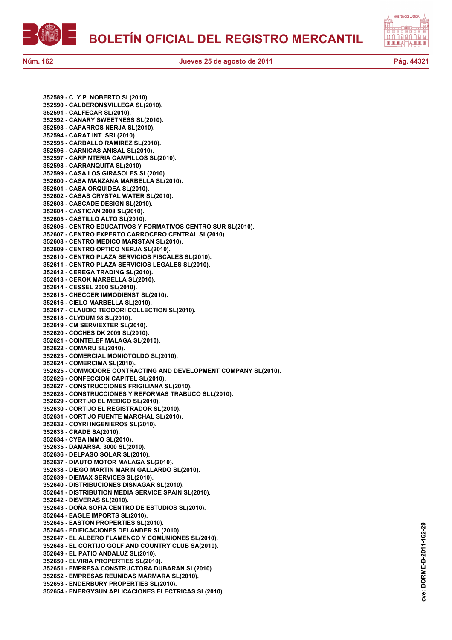**BOLETÍN OFICIAL DEL REGISTRO MERCANTIL**



**352589 - C. Y P. NOBERTO SL(2010). 352590 - CALDERON&VILLEGA SL(2010). 352591 - CALFECAR SL(2010). 352592 - CANARY SWEETNESS SL(2010). 352593 - CAPARROS NERJA SL(2010). 352594 - CARAT INT. SRL(2010). 352595 - CARBALLO RAMIREZ SL(2010). 352596 - CARNICAS ANISAL SL(2010). 352597 - CARPINTERIA CAMPILLOS SL(2010). 352598 - CARRANQUITA SL(2010). 352599 - CASA LOS GIRASOLES SL(2010). 352600 - CASA MANZANA MARBELLA SL(2010). 352601 - CASA ORQUIDEA SL(2010). 352602 - CASAS CRYSTAL WATER SL(2010). 352603 - CASCADE DESIGN SL(2010). 352604 - CASTICAN 2008 SL(2010). 352605 - CASTILLO ALTO SL(2010). 352606 - CENTRO EDUCATIVOS Y FORMATIVOS CENTRO SUR SL(2010). 352607 - CENTRO EXPERTO CARROCERO CENTRAL SL(2010). 352608 - CENTRO MEDICO MARISTAN SL(2010). 352609 - CENTRO OPTICO NERJA SL(2010). 352610 - CENTRO PLAZA SERVICIOS FISCALES SL(2010). 352611 - CENTRO PLAZA SERVICIOS LEGALES SL(2010). 352612 - CEREGA TRADING SL(2010). 352613 - CEROK MARBELLA SL(2010). 352614 - CESSEL 2000 SL(2010). 352615 - CHECCER IMMODIENST SL(2010). 352616 - CIELO MARBELLA SL(2010). 352617 - CLAUDIO TEODORI COLLECTION SL(2010). 352618 - CLYDUM 98 SL(2010). 352619 - CM SERVIEXTER SL(2010). 352620 - COCHES DK 2009 SL(2010). 352621 - COINTELEF MALAGA SL(2010). 352622 - COMARU SL(2010). 352623 - COMERCIAL MONIOTOLDO SL(2010). 352624 - COMERCIMA SL(2010). 352625 - COMMODORE CONTRACTING AND DEVELOPMENT COMPANY SL(2010). 352626 - CONFECCION CAPITEL SL(2010). 352627 - CONSTRUCCIONES FRIGILIANA SL(2010). 352628 - CONSTRUCCIONES Y REFORMAS TRABUCO SLL(2010). 352629 - CORTIJO EL MEDICO SL(2010). 352630 - CORTIJO EL REGISTRADOR SL(2010). 352631 - CORTIJO FUENTE MARCHAL SL(2010). 352632 - COYRI INGENIEROS SL(2010). 352633 - CRADE SA(2010). 352634 - CYBA IMMO SL(2010). 352635 - DAMARSA. 3000 SL(2010). 352636 - DELPASO SOLAR SL(2010). 352637 - DIAUTO MOTOR MALAGA SL(2010). 352638 - DIEGO MARTIN MARIN GALLARDO SL(2010). 352639 - DIEMAX SERVICES SL(2010). 352640 - DISTRIBUCIONES DISNAGAR SL(2010). 352641 - DISTRIBUTION MEDIA SERVICE SPAIN SL(2010). 352642 - DISVERAS SL(2010). 352643 - DOÑA SOFIA CENTRO DE ESTUDIOS SL(2010). 352644 - EAGLE IMPORTS SL(2010). 352645 - EASTON PROPERTIES SL(2010). 352646 - EDIFICACIONES DELANDER SL(2010). 352647 - EL ALBERO FLAMENCO Y COMUNIONES SL(2010). 352648 - EL CORTIJO GOLF AND COUNTRY CLUB SA(2010). 352649 - EL PATIO ANDALUZ SL(2010). 352650 - ELVIRIA PROPERTIES SL(2010). 352651 - EMPRESA CONSTRUCTORA DUBARAN SL(2010). 352652 - EMPRESAS REUNIDAS MARMARA SL(2010). 352653 - ENDERBURY PROPERTIES SL(2010). 352654 - ENERGYSUN APLICACIONES ELECTRICAS SL(2010).**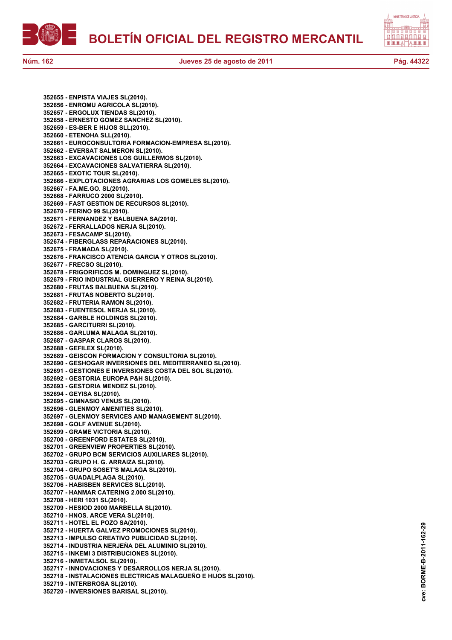**BOLETÍN OFICIAL DEL REGISTRO MERCANTIL**





**Núm. 162 Jueves 25 de agosto de 2011 Pág. 44322**

**352655 - ENPISTA VIAJES SL(2010). 352656 - ENROMU AGRICOLA SL(2010). 352657 - ERGOLUX TIENDAS SL(2010). 352658 - ERNESTO GOMEZ SANCHEZ SL(2010). 352659 - ES-BER E HIJOS SLL(2010). 352660 - ETENOHA SLL(2010). 352661 - EUROCONSULTORIA FORMACION-EMPRESA SL(2010). 352662 - EVERSAT SALMERON SL(2010). 352663 - EXCAVACIONES LOS GUILLERMOS SL(2010). 352664 - EXCAVACIONES SALVATIERRA SL(2010). 352665 - EXOTIC TOUR SL(2010). 352666 - EXPLOTACIONES AGRARIAS LOS GOMELES SL(2010). 352667 - FA.ME.GO. SL(2010). 352668 - FARRUCO 2000 SL(2010). 352669 - FAST GESTION DE RECURSOS SL(2010). 352670 - FERINO 99 SL(2010). 352671 - FERNANDEZ Y BALBUENA SA(2010). 352672 - FERRALLADOS NERJA SL(2010). 352673 - FESACAMP SL(2010). 352674 - FIBERGLASS REPARACIONES SL(2010). 352675 - FRAMADA SL(2010). 352676 - FRANCISCO ATENCIA GARCIA Y OTROS SL(2010). 352677 - FRECSO SL(2010). 352678 - FRIGORIFICOS M. DOMINGUEZ SL(2010). 352679 - FRIO INDUSTRIAL GUERRERO Y REINA SL(2010). 352680 - FRUTAS BALBUENA SL(2010). 352681 - FRUTAS NOBERTO SL(2010). 352682 - FRUTERIA RAMON SL(2010). 352683 - FUENTESOL NERJA SL(2010). 352684 - GARBLE HOLDINGS SL(2010). 352685 - GARCITURRI SL(2010). 352686 - GARLUMA MALAGA SL(2010). 352687 - GASPAR CLAROS SL(2010). 352688 - GEFILEX SL(2010). 352689 - GEISCON FORMACION Y CONSULTORIA SL(2010). 352690 - GESHOGAR INVERSIONES DEL MEDITERRANEO SL(2010). 352691 - GESTIONES E INVERSIONES COSTA DEL SOL SL(2010). 352692 - GESTORIA EUROPA P&H SL(2010). 352693 - GESTORIA MENDEZ SL(2010). 352694 - GEYISA SL(2010). 352695 - GIMNASIO VENUS SL(2010). 352696 - GLENMOY AMENITIES SL(2010). 352697 - GLENMOY SERVICES AND MANAGEMENT SL(2010). 352698 - GOLF AVENUE SL(2010). 352699 - GRAME VICTORIA SL(2010). 352700 - GREENFORD ESTATES SL(2010). 352701 - GREENVIEW PROPERTIES SL(2010). 352702 - GRUPO BCM SERVICIOS AUXILIARES SL(2010). 352703 - GRUPO H. G. ARRAIZA SL(2010). 352704 - GRUPO SOSET'S MALAGA SL(2010). 352705 - GUADALPLAGA SL(2010). 352706 - HABISBEN SERVICES SLL(2010). 352707 - HANMAR CATERING 2.000 SL(2010). 352708 - HERI 1031 SL(2010). 352709 - HESIOD 2000 MARBELLA SL(2010). 352710 - HNOS. ARCE VERA SL(2010). 352711 - HOTEL EL POZO SA(2010). 352712 - HUERTA GALVEZ PROMOCIONES SL(2010). 352713 - IMPULSO CREATIVO PUBLICIDAD SL(2010). 352714 - INDUSTRIA NERJEÑA DEL ALUMINIO SL(2010). 352715 - INKEMI 3 DISTRIBUCIONES SL(2010). 352716 - INMETALSOL SL(2010). 352717 - INNOVACIONES Y DESARROLLOS NERJA SL(2010). 352718 - INSTALACIONES ELECTRICAS MALAGUEÑO E HIJOS SL(2010). 352719 - INTERBROSA SL(2010). 352720 - INVERSIONES BARISAL SL(2010).**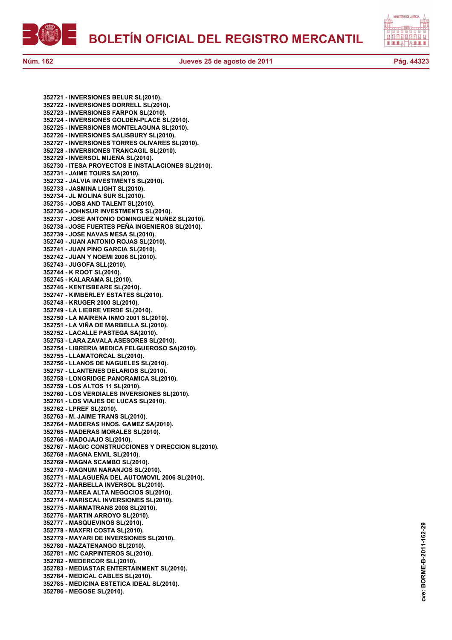

**352721 - INVERSIONES BELUR SL(2010). 352722 - INVERSIONES DORRELL SL(2010). 352723 - INVERSIONES FARPON SL(2010). 352724 - INVERSIONES GOLDEN-PLACE SL(2010). 352725 - INVERSIONES MONTELAGUNA SL(2010). 352726 - INVERSIONES SALISBURY SL(2010). 352727 - INVERSIONES TORRES OLIVARES SL(2010). 352728 - INVERSIONES TRANCAGIL SL(2010). 352729 - INVERSOL MIJEÑA SL(2010). 352730 - ITESA PROYECTOS E INSTALACIONES SL(2010). 352731 - JAIME TOURS SA(2010). 352732 - JALVIA INVESTMENTS SL(2010). 352733 - JASMINA LIGHT SL(2010). 352734 - JL MOLINA SUR SL(2010). 352735 - JOBS AND TALENT SL(2010). 352736 - JOHNSUR INVESTMENTS SL(2010). 352737 - JOSE ANTONIO DOMINGUEZ NUÑEZ SL(2010). 352738 - JOSE FUERTES PEÑA INGENIEROS SL(2010). 352739 - JOSE NAVAS MESA SL(2010). 352740 - JUAN ANTONIO ROJAS SL(2010). 352741 - JUAN PINO GARCIA SL(2010). 352742 - JUAN Y NOEMI 2006 SL(2010). 352743 - JUGOFA SLL(2010). 352744 - K ROOT SL(2010). 352745 - KALARAMA SL(2010). 352746 - KENTISBEARE SL(2010). 352747 - KIMBERLEY ESTATES SL(2010). 352748 - KRUGER 2000 SL(2010). 352749 - LA LIEBRE VERDE SL(2010). 352750 - LA MAIRENA INMO 2001 SL(2010). 352751 - LA VIÑA DE MARBELLA SL(2010). 352752 - LACALLE PASTEGA SA(2010). 352753 - LARA ZAVALA ASESORES SL(2010). 352754 - LIBRERIA MEDICA FELGUEROSO SA(2010). 352755 - LLAMATORCAL SL(2010). 352756 - LLANOS DE NAGUELES SL(2010). 352757 - LLANTENES DELARIOS SL(2010). 352758 - LONGRIDGE PANORAMICA SL(2010). 352759 - LOS ALTOS 11 SL(2010). 352760 - LOS VERDIALES INVERSIONES SL(2010). 352761 - LOS VIAJES DE LUCAS SL(2010). 352762 - LPREF SL(2010). 352763 - M. JAIME TRANS SL(2010). 352764 - MADERAS HNOS. GAMEZ SA(2010). 352765 - MADERAS MORALES SL(2010). 352766 - MADOJAJO SL(2010). 352767 - MAGIC CONSTRUCCIONES Y DIRECCION SL(2010). 352768 - MAGNA ENVIL SL(2010). 352769 - MAGNA SCAMBO SL(2010). 352770 - MAGNUM NARANJOS SL(2010). 352771 - MALAGUEÑA DEL AUTOMOVIL 2006 SL(2010). 352772 - MARBELLA INVERSOL SL(2010). 352773 - MAREA ALTA NEGOCIOS SL(2010). 352774 - MARISCAL INVERSIONES SL(2010). 352775 - MARMATRANS 2008 SL(2010). 352776 - MARTIN ARROYO SL(2010). 352777 - MASQUEVINOS SL(2010). 352778 - MAXFRI COSTA SL(2010). 352779 - MAYARI DE INVERSIONES SL(2010). 352780 - MAZATENANGO SL(2010). 352781 - MC CARPINTEROS SL(2010). 352782 - MEDERCOR SLL(2010). 352783 - MEDIASTAR ENTERTAINMENT SL(2010). 352784 - MEDICAL CABLES SL(2010). 352785 - MEDICINA ESTETICA IDEAL SL(2010). 352786 - MEGOSE SL(2010).**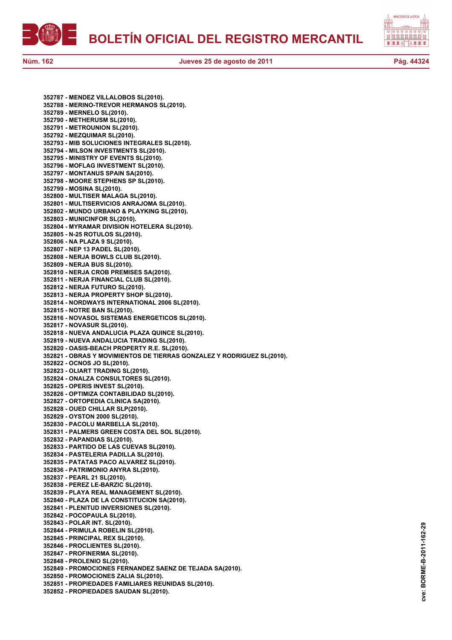



**352787 - MENDEZ VILLALOBOS SL(2010). 352788 - MERINO-TREVOR HERMANOS SL(2010). 352789 - MERNELO SL(2010). 352790 - METHERUSM SL(2010). 352791 - METROUNION SL(2010). 352792 - MEZQUIMAR SL(2010). 352793 - MIB SOLUCIONES INTEGRALES SL(2010). 352794 - MILSON INVESTMENTS SL(2010). 352795 - MINISTRY OF EVENTS SL(2010). 352796 - MOFLAG INVESTMENT SL(2010). 352797 - MONTANUS SPAIN SA(2010). 352798 - MOORE STEPHENS SP SL(2010). 352799 - MOSINA SL(2010). 352800 - MULTISER MALAGA SL(2010). 352801 - MULTISERVICIOS ANRAJOMA SL(2010). 352802 - MUNDO URBANO & PLAYKING SL(2010). 352803 - MUNICINFOR SL(2010). 352804 - MYRAMAR DIVISION HOTELERA SL(2010). 352805 - N-25 ROTULOS SL(2010). 352806 - NA PLAZA 9 SL(2010). 352807 - NEP 13 PADEL SL(2010). 352808 - NERJA BOWLS CLUB SL(2010). 352809 - NERJA BUS SL(2010). 352810 - NERJA CROB PREMISES SA(2010). 352811 - NERJA FINANCIAL CLUB SL(2010). 352812 - NERJA FUTURO SL(2010). 352813 - NERJA PROPERTY SHOP SL(2010). 352814 - NORDWAYS INTERNATIONAL 2006 SL(2010). 352815 - NOTRE BAN SL(2010). 352816 - NOVASOL SISTEMAS ENERGETICOS SL(2010). 352817 - NOVASUR SL(2010). 352818 - NUEVA ANDALUCIA PLAZA QUINCE SL(2010). 352819 - NUEVA ANDALUCIA TRADING SL(2010). 352820 - OASIS-BEACH PROPERTY R.E. SL(2010). 352821 - OBRAS Y MOVIMIENTOS DE TIERRAS GONZALEZ Y RODRIGUEZ SL(2010). 352822 - OCNOS JO SL(2010). 352823 - OLIART TRADING SL(2010). 352824 - ONALZA CONSULTORES SL(2010). 352825 - OPERIS INVEST SL(2010). 352826 - OPTIMIZA CONTABILIDAD SL(2010). 352827 - ORTOPEDIA CLINICA SA(2010). 352828 - OUED CHILLAR SLP(2010). 352829 - OYSTON 2000 SL(2010). 352830 - PACOLU MARBELLA SL(2010). 352831 - PALMERS GREEN COSTA DEL SOL SL(2010). 352832 - PAPANDIAS SL(2010). 352833 - PARTIDO DE LAS CUEVAS SL(2010). 352834 - PASTELERIA PADILLA SL(2010). 352835 - PATATAS PACO ALVAREZ SL(2010). 352836 - PATRIMONIO ANYRA SL(2010). 352837 - PEARL 21 SL(2010). 352838 - PEREZ LE-BARZIC SL(2010). 352839 - PLAYA REAL MANAGEMENT SL(2010). 352840 - PLAZA DE LA CONSTITUCION SA(2010). 352841 - PLENITUD INVERSIONES SL(2010). 352842 - POCOPAULA SL(2010). 352843 - POLAR INT. SL(2010). 352844 - PRIMULA ROBELIN SL(2010). 352845 - PRINCIPAL REX SL(2010). 352846 - PROCLIENTES SL(2010). 352847 - PROFINERMA SL(2010). 352848 - PROLENIO SL(2010). 352849 - PROMOCIONES FERNANDEZ SAENZ DE TEJADA SA(2010). 352850 - PROMOCIONES ZALIA SL(2010). 352851 - PROPIEDADES FAMILIARES REUNIDAS SL(2010). 352852 - PROPIEDADES SAUDAN SL(2010).**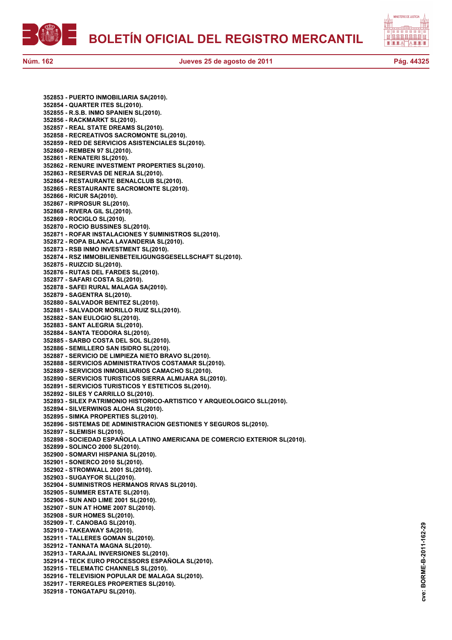



**352853 - PUERTO INMOBILIARIA SA(2010). 352854 - QUARTER ITES SL(2010). 352855 - R.S.B. INMO SPANIEN SL(2010). 352856 - RACKMARKT SL(2010). 352857 - REAL STATE DREAMS SL(2010). 352858 - RECREATIVOS SACROMONTE SL(2010). 352859 - RED DE SERVICIOS ASISTENCIALES SL(2010). 352860 - REMBEN 97 SL(2010). 352861 - RENATERI SL(2010). 352862 - RENURE INVESTMENT PROPERTIES SL(2010). 352863 - RESERVAS DE NERJA SL(2010). 352864 - RESTAURANTE BENALCLUB SL(2010). 352865 - RESTAURANTE SACROMONTE SL(2010). 352866 - RICUR SA(2010). 352867 - RIPROSUR SL(2010). 352868 - RIVERA GIL SL(2010). 352869 - ROCIGLO SL(2010). 352870 - ROCIO BUSSINES SL(2010). 352871 - ROFAR INSTALACIONES Y SUMINISTROS SL(2010). 352872 - ROPA BLANCA LAVANDERIA SL(2010). 352873 - RSB INMO INVESTMENT SL(2010). 352874 - RSZ IMMOBILIENBETEILIGUNGSGESELLSCHAFT SL(2010). 352875 - RUIZCID SL(2010). 352876 - RUTAS DEL FARDES SL(2010). 352877 - SAFARI COSTA SL(2010). 352878 - SAFEI RURAL MALAGA SA(2010). 352879 - SAGENTRA SL(2010). 352880 - SALVADOR BENITEZ SL(2010). 352881 - SALVADOR MORILLO RUIZ SLL(2010). 352882 - SAN EULOGIO SL(2010). 352883 - SANT ALEGRIA SL(2010). 352884 - SANTA TEODORA SL(2010). 352885 - SARBO COSTA DEL SOL SL(2010). 352886 - SEMILLERO SAN ISIDRO SL(2010). 352887 - SERVICIO DE LIMPIEZA NIETO BRAVO SL(2010). 352888 - SERVICIOS ADMINISTRATIVOS COSTAMAR SL(2010). 352889 - SERVICIOS INMOBILIARIOS CAMACHO SL(2010). 352890 - SERVICIOS TURISTICOS SIERRA ALMIJARA SL(2010). 352891 - SERVICIOS TURISTICOS Y ESTETICOS SL(2010). 352892 - SILES Y CARRILLO SL(2010). 352893 - SILEX PATRIMONIO HISTORICO-ARTISTICO Y ARQUEOLOGICO SLL(2010). 352894 - SILVERWINGS ALOHA SL(2010). 352895 - SIMKA PROPERTIES SL(2010). 352896 - SISTEMAS DE ADMINISTRACION GESTIONES Y SEGUROS SL(2010). 352897 - SLEMISH SL(2010). 352898 - SOCIEDAD ESPAÑOLA LATINO AMERICANA DE COMERCIO EXTERIOR SL(2010). 352899 - SOLINCO 2000 SL(2010). 352900 - SOMARVI HISPANIA SL(2010). 352901 - SONERCO 2010 SL(2010). 352902 - STROMWALL 2001 SL(2010). 352903 - SUGAYFOR SLL(2010). 352904 - SUMINISTROS HERMANOS RIVAS SL(2010). 352905 - SUMMER ESTATE SL(2010). 352906 - SUN AND LIME 2001 SL(2010). 352907 - SUN AT HOME 2007 SL(2010). 352908 - SUR HOMES SL(2010). 352909 - T. CANOBAG SL(2010). 352910 - TAKEAWAY SA(2010). 352911 - TALLERES GOMAN SL(2010). 352912 - TANNATA MAGNA SL(2010). 352913 - TARAJAL INVERSIONES SL(2010). 352914 - TECK EURO PROCESSORS ESPAÑOLA SL(2010). 352915 - TELEMATIC CHANNELS SL(2010). 352916 - TELEVISION POPULAR DE MALAGA SL(2010). 352917 - TERREGLES PROPERTIES SL(2010). 352918 - TONGATAPU SL(2010).**